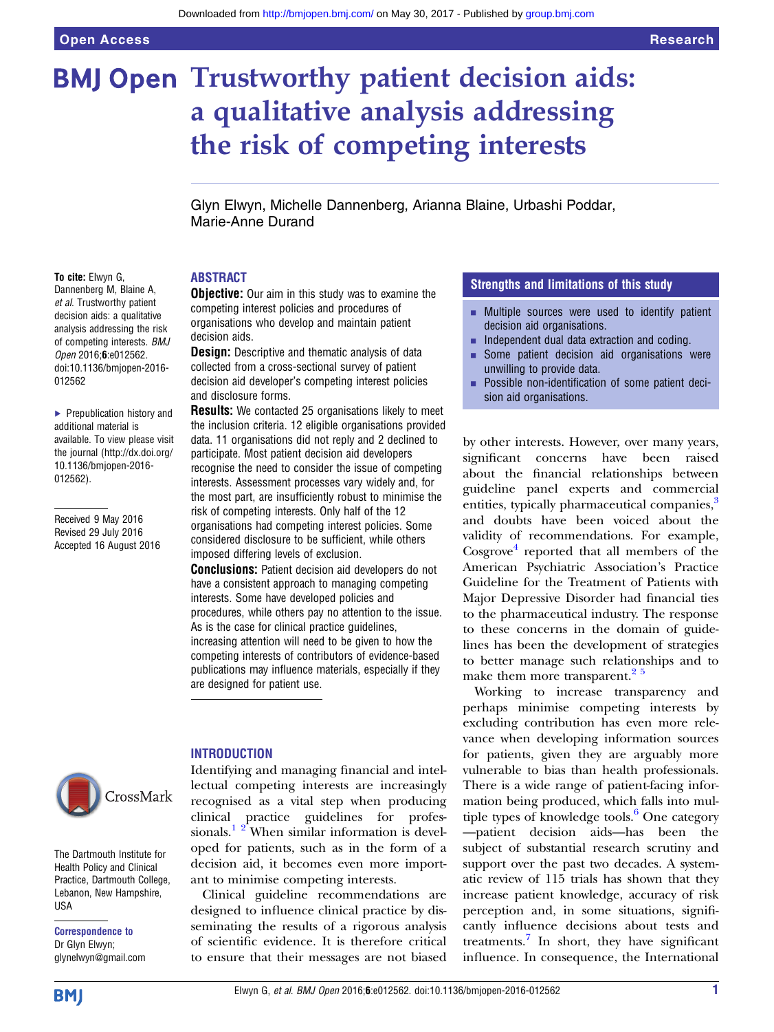# **BMJ Open Trustworthy patient decision aids:** a qualitative analysis addressing the risk of competing interests

Glyn Elwyn, Michelle Dannenberg, Arianna Blaine, Urbashi Poddar, Marie-Anne Durand

#### ABSTRACT

**Objective:** Our aim in this study was to examine the competing interest policies and procedures of organisations who develop and maintain patient decision aids.

**Design:** Descriptive and thematic analysis of data collected from a cross-sectional survey of patient decision aid developer's competing interest policies and disclosure forms.

**Results:** We contacted 25 organisations likely to meet the inclusion criteria. 12 eligible organisations provided data. 11 organisations did not reply and 2 declined to participate. Most patient decision aid developers recognise the need to consider the issue of competing interests. Assessment processes vary widely and, for the most part, are insufficiently robust to minimise the risk of competing interests. Only half of the 12 organisations had competing interest policies. Some considered disclosure to be sufficient, while others imposed differing levels of exclusion.

Conclusions: Patient decision aid developers do not have a consistent approach to managing competing interests. Some have developed policies and procedures, while others pay no attention to the issue. As is the case for clinical practice guidelines, increasing attention will need to be given to how the competing interests of contributors of evidence-based publications may influence materials, especially if they are designed for patient use.

Identifying and managing financial and intellectual competing interests are increasingly

#### **INTRODUCTION**



The Dartmouth Institute for Health Policy and Clinical

Lebanon, New Hampshire,

Correspondence to Dr Glyn Elwyn; glynelwyn@gmail.com

Practice, Dartmouth College, recognised as a vital step when producing clinical practice guidelines for professionals.<sup>12</sup> When similar information is developed for patients, such as in the form of a decision aid, it becomes even more important to minimise competing interests.

Clinical guideline recommendations are designed to influence clinical practice by disseminating the results of a rigorous analysis of scientific evidence. It is therefore critical to ensure that their messages are not biased

#### Strengths and limitations of this study

- $\blacksquare$  Multiple sources were used to identify patient decision aid organisations.
- $\blacksquare$  Independent dual data extraction and coding.
- $\blacksquare$  Some patient decision aid organisations were unwilling to provide data.
- Possible non-identification of some patient decision aid organisations.

by other interests. However, over many years, significant concerns have been raised about the financial relationships between guideline panel experts and commercial entities, typically pharmaceutical companies,<sup>[3](#page-6-0)</sup> and doubts have been voiced about the validity of recommendations. For example,  $Cosgrove<sup>4</sup>$  reported that all members of the American Psychiatric Association's Practice Guideline for the Treatment of Patients with Major Depressive Disorder had financial ties to the pharmaceutical industry. The response to these concerns in the domain of guidelines has been the development of strategies to better manage such relationships and to make them more transparent. $2<sup>5</sup>$ 

Working to increase transparency and perhaps minimise competing interests by excluding contribution has even more relevance when developing information sources for patients, given they are arguably more vulnerable to bias than health professionals. There is a wide range of patient-facing information being produced, which falls into multiple types of knowledge tools. $6$  One category —patient decision aids—has been the subject of substantial research scrutiny and support over the past two decades. A systematic review of 115 trials has shown that they increase patient knowledge, accuracy of risk perception and, in some situations, significantly influence decisions about tests and treatments. $\frac{7}{1}$  $\frac{7}{1}$  $\frac{7}{1}$  In short, they have significant influence. In consequence, the International

To cite: Elwyn G, Dannenberg M, Blaine A, et al. Trustworthy patient decision aids: a qualitative analysis addressing the risk of competing interests. BMJ Open 2016;6:e012562. doi:10.1136/bmjopen-2016- 012562

▶ Prepublication history and additional material is available. To view please visit the journal [\(http://dx.doi.org/](http://dx.doi.org/10.1136/bmjopen-2016-012562) [10.1136/bmjopen-2016-](http://dx.doi.org/10.1136/bmjopen-2016-012562) [012562\)](http://dx.doi.org/10.1136/bmjopen-2016-012562).

Received 9 May 2016 Revised 29 July 2016 Accepted 16 August 2016

USA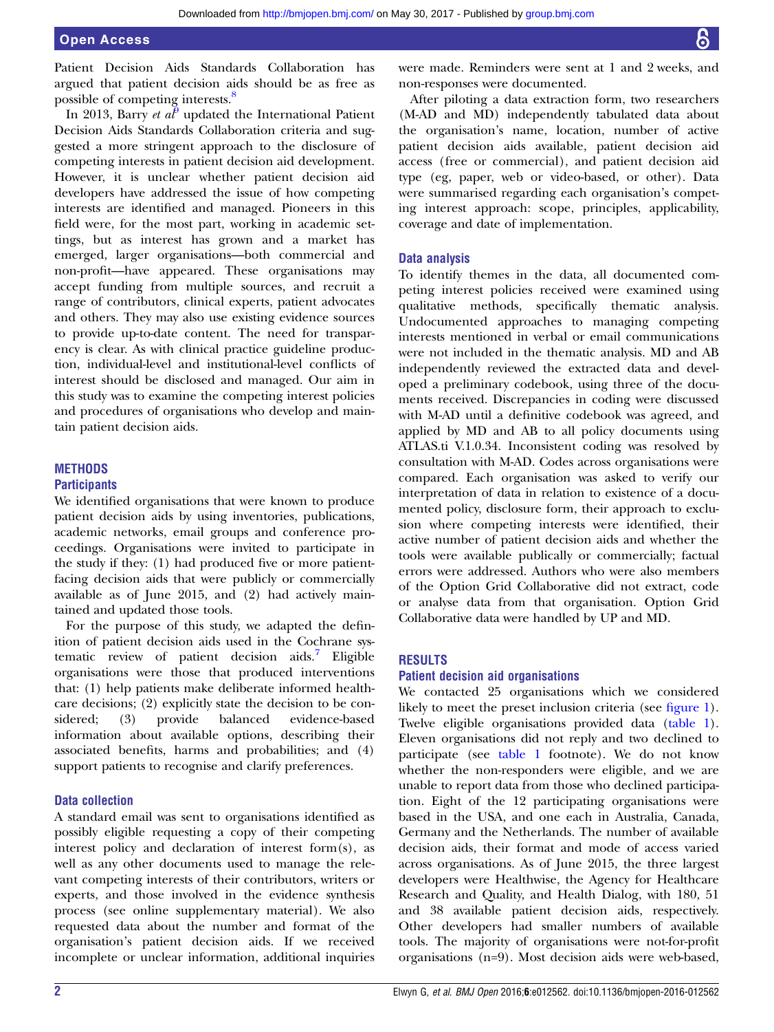Open Access

Patient Decision Aids Standards Collaboration has argued that patient decision aids should be as free as possible of competing interests.<sup>[8](#page-6-0)</sup>

In 2013, Barry *et al*<sup>[9](#page-6-0)</sup> updated the International Patient Decision Aids Standards Collaboration criteria and suggested a more stringent approach to the disclosure of competing interests in patient decision aid development. However, it is unclear whether patient decision aid developers have addressed the issue of how competing interests are identified and managed. Pioneers in this field were, for the most part, working in academic settings, but as interest has grown and a market has emerged, larger organisations—both commercial and non-profit—have appeared. These organisations may accept funding from multiple sources, and recruit a range of contributors, clinical experts, patient advocates and others. They may also use existing evidence sources to provide up-to-date content. The need for transparency is clear. As with clinical practice guideline production, individual-level and institutional-level conflicts of interest should be disclosed and managed. Our aim in this study was to examine the competing interest policies and procedures of organisations who develop and maintain patient decision aids.

### **METHODS Participants**

We identified organisations that were known to produce patient decision aids by using inventories, publications, academic networks, email groups and conference proceedings. Organisations were invited to participate in the study if they: (1) had produced five or more patientfacing decision aids that were publicly or commercially available as of June 2015, and (2) had actively maintained and updated those tools.

For the purpose of this study, we adapted the definition of patient decision aids used in the Cochrane sys-tematic review of patient decision aids.<sup>[7](#page-6-0)</sup> Eligible organisations were those that produced interventions that: (1) help patients make deliberate informed healthcare decisions; (2) explicitly state the decision to be con-<br>sidered; (3) provide balanced evidence-based sidered; (3) provide balanced evidence-based information about available options, describing their associated benefits, harms and probabilities; and (4) support patients to recognise and clarify preferences.

#### Data collection

A standard email was sent to organisations identified as possibly eligible requesting a copy of their competing interest policy and declaration of interest form(s), as well as any other documents used to manage the relevant competing interests of their contributors, writers or experts, and those involved in the evidence synthesis process (see online supplementary material). We also requested data about the number and format of the organisation's patient decision aids. If we received incomplete or unclear information, additional inquiries

were made. Reminders were sent at 1 and 2 weeks, and non-responses were documented.

After piloting a data extraction form, two researchers (M-AD and MD) independently tabulated data about the organisation's name, location, number of active patient decision aids available, patient decision aid access (free or commercial), and patient decision aid type (eg, paper, web or video-based, or other). Data were summarised regarding each organisation's competing interest approach: scope, principles, applicability, coverage and date of implementation.

#### Data analysis

To identify themes in the data, all documented competing interest policies received were examined using qualitative methods, specifically thematic analysis. Undocumented approaches to managing competing interests mentioned in verbal or email communications were not included in the thematic analysis. MD and AB independently reviewed the extracted data and developed a preliminary codebook, using three of the documents received. Discrepancies in coding were discussed with M-AD until a definitive codebook was agreed, and applied by MD and AB to all policy documents using ATLAS.ti V.1.0.34. Inconsistent coding was resolved by consultation with M-AD. Codes across organisations were compared. Each organisation was asked to verify our interpretation of data in relation to existence of a documented policy, disclosure form, their approach to exclusion where competing interests were identified, their active number of patient decision aids and whether the tools were available publically or commercially; factual errors were addressed. Authors who were also members of the Option Grid Collaborative did not extract, code or analyse data from that organisation. Option Grid Collaborative data were handled by UP and MD.

#### RESULTS

#### Patient decision aid organisations

We contacted 25 organisations which we considered likely to meet the preset inclusion criteria (see fi[gure 1\)](#page-2-0). Twelve eligible organisations provided data [\(table 1\)](#page-3-0). Eleven organisations did not reply and two declined to participate (see [table 1](#page-3-0) footnote). We do not know whether the non-responders were eligible, and we are unable to report data from those who declined participation. Eight of the 12 participating organisations were based in the USA, and one each in Australia, Canada, Germany and the Netherlands. The number of available decision aids, their format and mode of access varied across organisations. As of June 2015, the three largest developers were Healthwise, the Agency for Healthcare Research and Quality, and Health Dialog, with 180, 51 and 38 available patient decision aids, respectively. Other developers had smaller numbers of available tools. The majority of organisations were not-for-profit organisations (n=9). Most decision aids were web-based,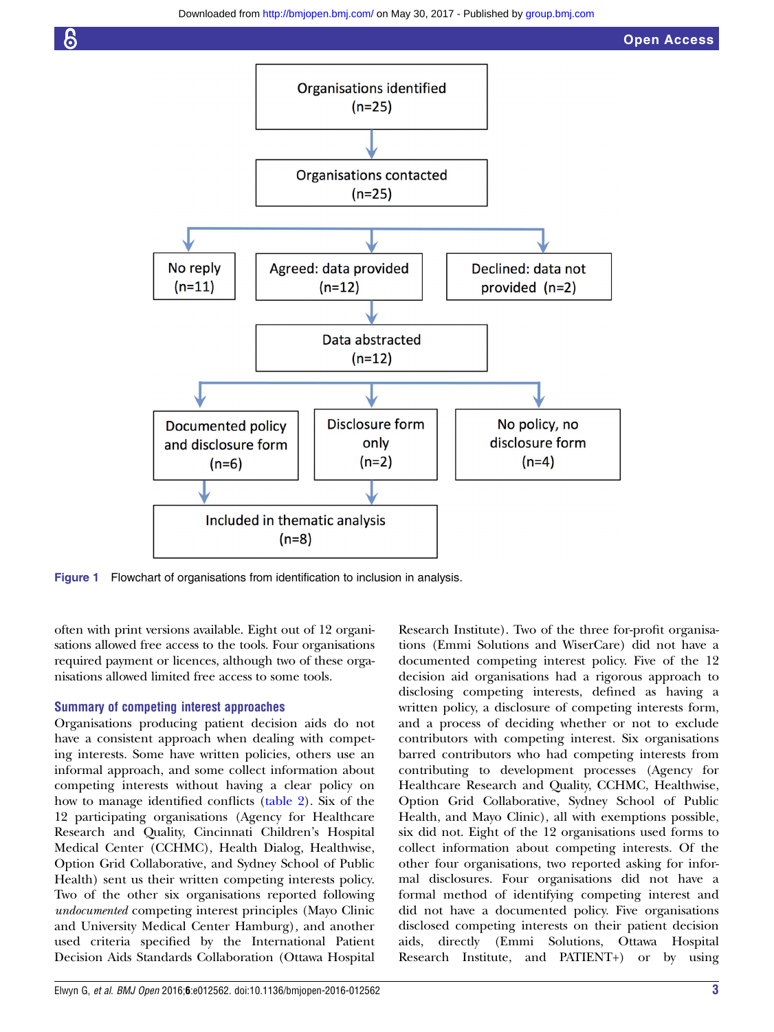

<span id="page-2-0"></span>

Figure 1 Flowchart of organisations from identification to inclusion in analysis.

often with print versions available. Eight out of 12 organisations allowed free access to the tools. Four organisations required payment or licences, although two of these organisations allowed limited free access to some tools.

#### Summary of competing interest approaches

Organisations producing patient decision aids do not have a consistent approach when dealing with competing interests. Some have written policies, others use an informal approach, and some collect information about competing interests without having a clear policy on how to manage identified conflicts [\(table 2](#page-4-0)). Six of the 12 participating organisations (Agency for Healthcare Research and Quality, Cincinnati Children's Hospital Medical Center (CCHMC), Health Dialog, Healthwise, Option Grid Collaborative, and Sydney School of Public Health) sent us their written competing interests policy. Two of the other six organisations reported following undocumented competing interest principles (Mayo Clinic and University Medical Center Hamburg), and another used criteria specified by the International Patient Decision Aids Standards Collaboration (Ottawa Hospital

Research Institute). Two of the three for-profit organisations (Emmi Solutions and WiserCare) did not have a documented competing interest policy. Five of the 12 decision aid organisations had a rigorous approach to disclosing competing interests, defined as having a written policy, a disclosure of competing interests form, and a process of deciding whether or not to exclude contributors with competing interest. Six organisations barred contributors who had competing interests from contributing to development processes (Agency for Healthcare Research and Quality, CCHMC, Healthwise, Option Grid Collaborative, Sydney School of Public Health, and Mayo Clinic), all with exemptions possible, six did not. Eight of the 12 organisations used forms to collect information about competing interests. Of the other four organisations, two reported asking for informal disclosures. Four organisations did not have a formal method of identifying competing interest and did not have a documented policy. Five organisations disclosed competing interests on their patient decision aids, directly (Emmi Solutions, Ottawa Hospital Research Institute, and PATIENT+) or by using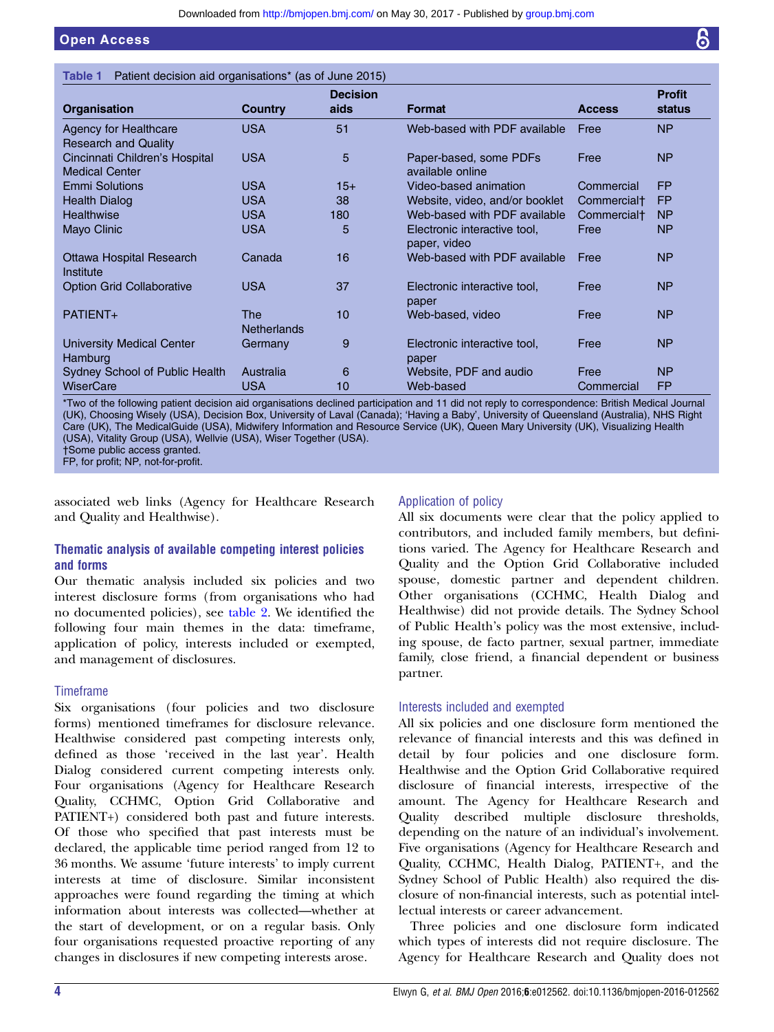|                                                         |                           | <b>Decision</b> |                                              |                         | <b>Profit</b> |
|---------------------------------------------------------|---------------------------|-----------------|----------------------------------------------|-------------------------|---------------|
| Organisation                                            | Country                   | aids            | <b>Format</b>                                | <b>Access</b>           | status        |
| Agency for Healthcare                                   | <b>USA</b>                | 51              | Web-based with PDF available                 | Free                    | <b>NP</b>     |
| <b>Research and Quality</b>                             |                           |                 |                                              |                         |               |
| Cincinnati Children's Hospital<br><b>Medical Center</b> | <b>USA</b>                | 5               | Paper-based, some PDFs<br>available online   | Free                    | <b>NP</b>     |
| <b>Emmi Solutions</b>                                   | <b>USA</b>                | $15+$           | Video-based animation                        | Commercial              | <b>FP</b>     |
| <b>Health Dialog</b>                                    | <b>USA</b>                | 38              | Website, video, and/or booklet               | Commercial <sup>+</sup> | <b>FP</b>     |
| <b>Healthwise</b>                                       | <b>USA</b>                | 180             | Web-based with PDF available                 | Commercial <sup>+</sup> | <b>NP</b>     |
| Mayo Clinic                                             | <b>USA</b>                | 5               | Electronic interactive tool,<br>paper, video | Free                    | <b>NP</b>     |
| Ottawa Hospital Research<br>Institute                   | Canada                    | 16              | Web-based with PDF available                 | Free                    | <b>NP</b>     |
| <b>Option Grid Collaborative</b>                        | <b>USA</b>                | 37              | Electronic interactive tool,<br>paper        | Free                    | <b>NP</b>     |
| PATIENT+                                                | The<br><b>Netherlands</b> | 10              | Web-based, video                             | Free                    | <b>NP</b>     |
| <b>University Medical Center</b><br>Hamburg             | Germany                   | 9               | Electronic interactive tool,<br>paper        | Free                    | <b>NP</b>     |
| Sydney School of Public Health                          | Australia                 | 6               | Website, PDF and audio                       | Free                    | <b>NP</b>     |
| <b>WiserCare</b>                                        | <b>USA</b>                | 10              | Web-based                                    | Commercial              | FP            |

\*Two of the following patient decision aid organisations declined participation and 11 did not reply to correspondence: British Medical Journal (UK), Choosing Wisely (USA), Decision Box, University of Laval (Canada); 'Having a Baby', University of Queensland (Australia), NHS Right Care (UK), The MedicalGuide (USA), Midwifery Information and Resource Service (UK), Queen Mary University (UK), Visualizing Health (USA), Vitality Group (USA), Wellvie (USA), Wiser Together (USA). †Some public access granted.

FP, for profit; NP, not-for-profit.

associated web links (Agency for Healthcare Research and Quality and Healthwise).

<span id="page-3-0"></span>Table 1 Patient decision aid organisations\* (as of June 2015)

#### Thematic analysis of available competing interest policies and forms

Our thematic analysis included six policies and two interest disclosure forms (from organisations who had no documented policies), see [table 2.](#page-4-0) We identified the following four main themes in the data: timeframe, application of policy, interests included or exempted, and management of disclosures.

#### **Timeframe**

Six organisations (four policies and two disclosure forms) mentioned timeframes for disclosure relevance. Healthwise considered past competing interests only, defined as those 'received in the last year'. Health Dialog considered current competing interests only. Four organisations (Agency for Healthcare Research Quality, CCHMC, Option Grid Collaborative and PATIENT+) considered both past and future interests. Of those who specified that past interests must be declared, the applicable time period ranged from 12 to 36 months. We assume 'future interests' to imply current interests at time of disclosure. Similar inconsistent approaches were found regarding the timing at which information about interests was collected—whether at the start of development, or on a regular basis. Only four organisations requested proactive reporting of any changes in disclosures if new competing interests arose.

#### Application of policy

All six documents were clear that the policy applied to contributors, and included family members, but definitions varied. The Agency for Healthcare Research and Quality and the Option Grid Collaborative included spouse, domestic partner and dependent children. Other organisations (CCHMC, Health Dialog and Healthwise) did not provide details. The Sydney School of Public Health's policy was the most extensive, including spouse, de facto partner, sexual partner, immediate family, close friend, a financial dependent or business partner.

#### Interests included and exempted

All six policies and one disclosure form mentioned the relevance of financial interests and this was defined in detail by four policies and one disclosure form. Healthwise and the Option Grid Collaborative required disclosure of financial interests, irrespective of the amount. The Agency for Healthcare Research and Quality described multiple disclosure thresholds, depending on the nature of an individual's involvement. Five organisations (Agency for Healthcare Research and Quality, CCHMC, Health Dialog, PATIENT+, and the Sydney School of Public Health) also required the disclosure of non-financial interests, such as potential intellectual interests or career advancement.

Three policies and one disclosure form indicated which types of interests did not require disclosure. The Agency for Healthcare Research and Quality does not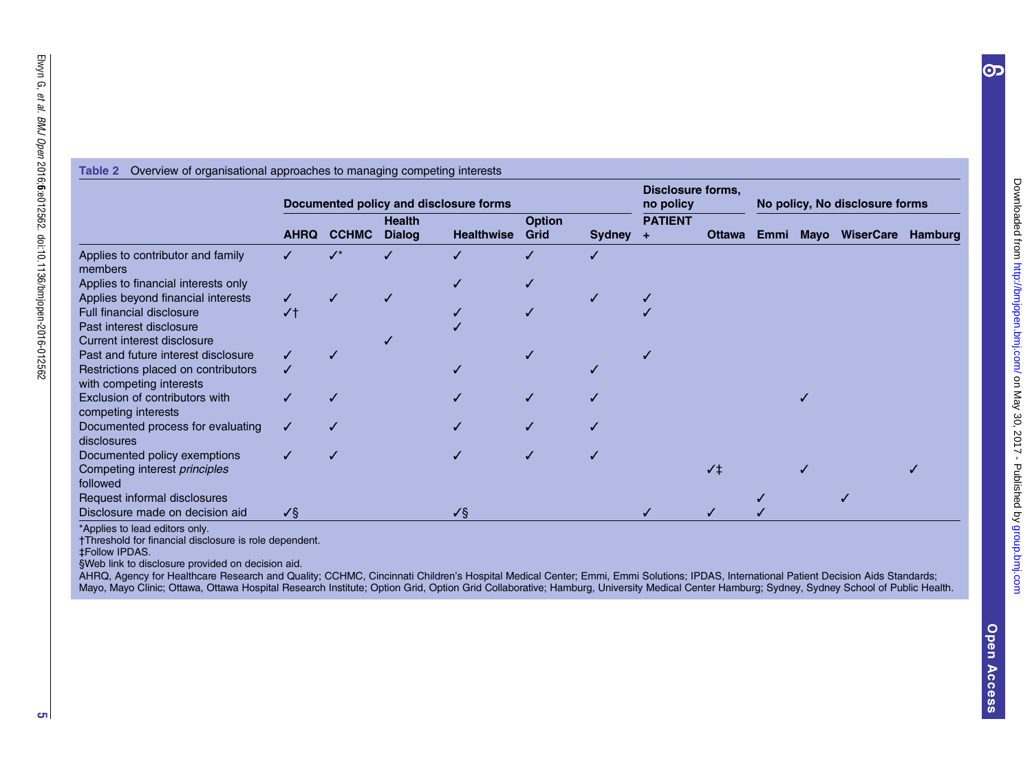|                                                                                  | Documented policy and disclosure forms |                       |                                |                   |                       | Disclosure forms,<br>no policy |                             | No policy, No disclosure forms |  |  |                             |  |
|----------------------------------------------------------------------------------|----------------------------------------|-----------------------|--------------------------------|-------------------|-----------------------|--------------------------------|-----------------------------|--------------------------------|--|--|-----------------------------|--|
|                                                                                  | <b>AHRQ</b>                            | <b>CCHMC</b>          | <b>Health</b><br><b>Dialog</b> | <b>Healthwise</b> | <b>Option</b><br>Grid | Sydney                         | <b>PATIENT</b><br>$\ddot{}$ | <b>Ottawa</b>                  |  |  | Emmi Mayo WiserCare Hamburg |  |
| Applies to contributor and family<br>members                                     |                                        | $\mathcal{N}^{\star}$ |                                |                   |                       |                                |                             |                                |  |  |                             |  |
| Applies to financial interests only                                              |                                        |                       |                                |                   |                       |                                |                             |                                |  |  |                             |  |
| Applies beyond financial interests                                               |                                        |                       |                                |                   |                       |                                |                             |                                |  |  |                             |  |
| Full financial disclosure                                                        | ✓†                                     |                       |                                |                   |                       |                                |                             |                                |  |  |                             |  |
| Past interest disclosure                                                         |                                        |                       |                                |                   |                       |                                |                             |                                |  |  |                             |  |
| Current interest disclosure                                                      |                                        |                       |                                |                   |                       |                                |                             |                                |  |  |                             |  |
| Past and future interest disclosure                                              |                                        |                       |                                |                   |                       |                                |                             |                                |  |  |                             |  |
| Restrictions placed on contributors<br>with competing interests                  |                                        |                       |                                |                   |                       |                                |                             |                                |  |  |                             |  |
| Exclusion of contributors with<br>competing interests                            |                                        |                       |                                |                   | ✓                     |                                |                             |                                |  |  |                             |  |
| Documented process for evaluating<br>disclosures                                 |                                        |                       |                                |                   |                       |                                |                             |                                |  |  |                             |  |
| Documented policy exemptions<br>Competing interest <i>principles</i><br>followed |                                        |                       |                                |                   | ✓                     |                                |                             | $\checkmark$                   |  |  |                             |  |
| Request informal disclosures                                                     |                                        |                       |                                |                   |                       |                                |                             |                                |  |  |                             |  |
| Disclosure made on decision aid                                                  | √§                                     |                       |                                | $\sqrt{\S}$       |                       |                                |                             |                                |  |  |                             |  |

#### <span id="page-4-0"></span>Table 2Overview of organisational approaches to managing competing interests

\*Applies to lead editors only.

†Threshold for financial disclosure is role dependent.

‡Follow IPDAS.

§Web link to disclosure provided on decision aid.

AHRQ, Agency for Healthcare Research and Quality; CCHMC, Cincinnati Children'<sup>s</sup> Hospital Medical Center; Emmi, Emmi Solutions; IPDAS, International Patient Decision Aids Standards; Mayo, Mayo Clinic; Ottawa, Ottawa Hospital Research Institute; Option Grid, Option Grid Collaborative; Hamburg, University Medical Center Hamburg; Sydney, Sydney School of Public Health.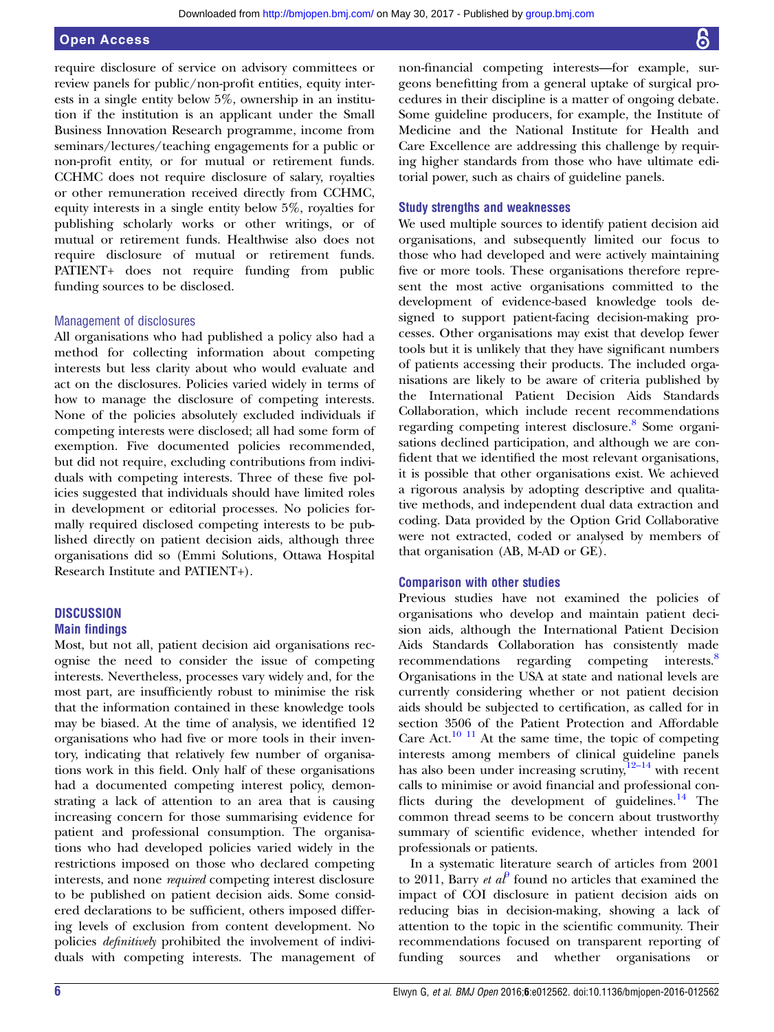#### Open Access

require disclosure of service on advisory committees or review panels for public/non-profit entities, equity interests in a single entity below 5%, ownership in an institution if the institution is an applicant under the Small Business Innovation Research programme, income from seminars/lectures/teaching engagements for a public or non-profit entity, or for mutual or retirement funds. CCHMC does not require disclosure of salary, royalties or other remuneration received directly from CCHMC, equity interests in a single entity below 5%, royalties for publishing scholarly works or other writings, or of mutual or retirement funds. Healthwise also does not require disclosure of mutual or retirement funds. PATIENT+ does not require funding from public funding sources to be disclosed.

#### Management of disclosures

All organisations who had published a policy also had a method for collecting information about competing interests but less clarity about who would evaluate and act on the disclosures. Policies varied widely in terms of how to manage the disclosure of competing interests. None of the policies absolutely excluded individuals if competing interests were disclosed; all had some form of exemption. Five documented policies recommended, but did not require, excluding contributions from individuals with competing interests. Three of these five policies suggested that individuals should have limited roles in development or editorial processes. No policies formally required disclosed competing interests to be published directly on patient decision aids, although three organisations did so (Emmi Solutions, Ottawa Hospital Research Institute and PATIENT+).

#### **DISCUSSION** Main findings

Most, but not all, patient decision aid organisations recognise the need to consider the issue of competing interests. Nevertheless, processes vary widely and, for the most part, are insufficiently robust to minimise the risk that the information contained in these knowledge tools may be biased. At the time of analysis, we identified 12 organisations who had five or more tools in their inventory, indicating that relatively few number of organisations work in this field. Only half of these organisations had a documented competing interest policy, demonstrating a lack of attention to an area that is causing increasing concern for those summarising evidence for patient and professional consumption. The organisations who had developed policies varied widely in the restrictions imposed on those who declared competing interests, and none required competing interest disclosure to be published on patient decision aids. Some considered declarations to be sufficient, others imposed differing levels of exclusion from content development. No policies definitively prohibited the involvement of individuals with competing interests. The management of

non-financial competing interests—for example, surgeons benefitting from a general uptake of surgical procedures in their discipline is a matter of ongoing debate. Some guideline producers, for example, the Institute of Medicine and the National Institute for Health and Care Excellence are addressing this challenge by requiring higher standards from those who have ultimate editorial power, such as chairs of guideline panels.

#### Study strengths and weaknesses

We used multiple sources to identify patient decision aid organisations, and subsequently limited our focus to those who had developed and were actively maintaining five or more tools. These organisations therefore represent the most active organisations committed to the development of evidence-based knowledge tools designed to support patient-facing decision-making processes. Other organisations may exist that develop fewer tools but it is unlikely that they have significant numbers of patients accessing their products. The included organisations are likely to be aware of criteria published by the International Patient Decision Aids Standards Collaboration, which include recent recommendations regarding competing interest disclosure.<sup>8</sup> Some organisations declined participation, and although we are confident that we identified the most relevant organisations, it is possible that other organisations exist. We achieved a rigorous analysis by adopting descriptive and qualitative methods, and independent dual data extraction and coding. Data provided by the Option Grid Collaborative were not extracted, coded or analysed by members of that organisation (AB, M-AD or GE).

#### Comparison with other studies

Previous studies have not examined the policies of organisations who develop and maintain patient decision aids, although the International Patient Decision Aids Standards Collaboration has consistently made recommendations regarding competing interests.<sup>[8](#page-6-0)</sup> Organisations in the USA at state and national levels are currently considering whether or not patient decision aids should be subjected to certification, as called for in section 3506 of the Patient Protection and Affordable Care Act.<sup>[10 11](#page-6-0)</sup> At the same time, the topic of competing interests among members of clinical guideline panels has also been under increasing scrutiny, $12-14$  with recent calls to minimise or avoid financial and professional conflicts during the development of guidelines. $^{14}$  $^{14}$  $^{14}$  The common thread seems to be concern about trustworthy summary of scientific evidence, whether intended for professionals or patients.

In a systematic literature search of articles from 2001 to 2011, Barry *et al*<sup> $\theta$ </sup> found no articles that examined the impact of COI disclosure in patient decision aids on reducing bias in decision-making, showing a lack of attention to the topic in the scientific community. Their recommendations focused on transparent reporting of funding sources and whether organisations or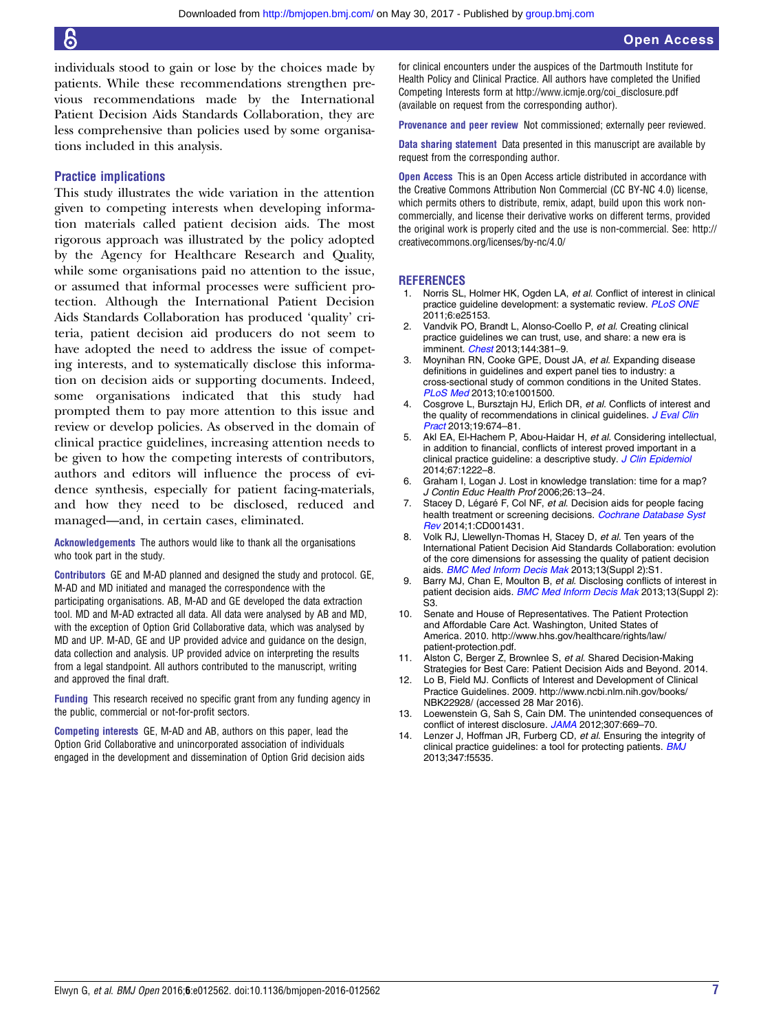<span id="page-6-0"></span>individuals stood to gain or lose by the choices made by patients. While these recommendations strengthen previous recommendations made by the International Patient Decision Aids Standards Collaboration, they are less comprehensive than policies used by some organisations included in this analysis.

#### Practice implications

This study illustrates the wide variation in the attention given to competing interests when developing information materials called patient decision aids. The most rigorous approach was illustrated by the policy adopted by the Agency for Healthcare Research and Quality, while some organisations paid no attention to the issue, or assumed that informal processes were sufficient protection. Although the International Patient Decision Aids Standards Collaboration has produced 'quality' criteria, patient decision aid producers do not seem to have adopted the need to address the issue of competing interests, and to systematically disclose this information on decision aids or supporting documents. Indeed, some organisations indicated that this study had prompted them to pay more attention to this issue and review or develop policies. As observed in the domain of clinical practice guidelines, increasing attention needs to be given to how the competing interests of contributors, authors and editors will influence the process of evidence synthesis, especially for patient facing-materials, and how they need to be disclosed, reduced and managed—and, in certain cases, eliminated.

Acknowledgements The authors would like to thank all the organisations who took part in the study.

Contributors GE and M-AD planned and designed the study and protocol. GE, M-AD and MD initiated and managed the correspondence with the participating organisations. AB, M-AD and GE developed the data extraction tool. MD and M-AD extracted all data. All data were analysed by AB and MD, with the exception of Option Grid Collaborative data, which was analysed by MD and UP. M-AD, GE and UP provided advice and guidance on the design, data collection and analysis. UP provided advice on interpreting the results from a legal standpoint. All authors contributed to the manuscript, writing and approved the final draft.

Funding This research received no specific grant from any funding agency in the public, commercial or not-for-profit sectors.

Competing interests GE, M-AD and AB, authors on this paper, lead the Option Grid Collaborative and unincorporated association of individuals engaged in the development and dissemination of Option Grid decision aids for clinical encounters under the auspices of the Dartmouth Institute for Health Policy and Clinical Practice. All authors have completed the Unified Competing Interests form at [http://www.icmje.org/coi\\_disclosure.pdf](http://www.icmje.org/coi_disclosure.pdf) (available on request from the corresponding author).

Provenance and peer review Not commissioned; externally peer reviewed.

Data sharing statement Data presented in this manuscript are available by request from the corresponding author.

Open Access This is an Open Access article distributed in accordance with the Creative Commons Attribution Non Commercial (CC BY-NC 4.0) license, which permits others to distribute, remix, adapt, build upon this work noncommercially, and license their derivative works on different terms, provided the original work is properly cited and the use is non-commercial. See: [http://](http://creativecommons.org/licenses/by-nc/4.0/) [creativecommons.org/licenses/by-nc/4.0/](http://creativecommons.org/licenses/by-nc/4.0/)

#### **REFERENCES**

- 1. Norris SL, Holmer HK, Ogden LA, et al. Conflict of interest in clinical practice guideline development: a systematic review. [PLoS ONE](http://dx.doi.org/10.1371/journal.pone.0025153) 2011;6:e25153.
- 2. Vandvik PO, Brandt L, Alonso-Coello P, et al. Creating clinical practice guidelines we can trust, use, and share: a new era is imminent. [Chest](http://dx.doi.org/10.1378/chest.13-0746) 2013;144:381–9.
- 3. Moynihan RN, Cooke GPE, Doust JA, et al. Expanding disease definitions in guidelines and expert panel ties to industry: a cross-sectional study of common conditions in the United States. [PLoS Med](http://dx.doi.org/10.1371/journal.pmed.1001500) 2013;10:e1001500.
- 4. Cosgrove L, Bursztajn HJ, Erlich DR, et al. Conflicts of interest and the quality of recommendations in clinical guidelines. [J Eval Clin](http://dx.doi.org/10.1111/jep.12016) [Pract](http://dx.doi.org/10.1111/jep.12016) 2013;19:674–81.
- 5. Akl EA, El-Hachem P, Abou-Haidar H, et al. Considering intellectual, in addition to financial, conflicts of interest proved important in a clinical practice guideline: a descriptive study. [J Clin Epidemiol](http://dx.doi.org/10.1016/j.jclinepi.2014.05.006) 2014;67:1222–8.
- 6. Graham I, Logan J. Lost in knowledge translation: time for a map? J Contin Educ Health Prof 2006;26:13–24.
- 7. Stacey D, Légaré F, Col NF, et al. Decision aids for people facing health treatment or screening decisions. [Cochrane Database Syst](http://dx.doi.org/10.1002/14651858.CD001431.pub4) [Rev](http://dx.doi.org/10.1002/14651858.CD001431.pub4) 2014;1:CD001431.
- 8. Volk RJ, Llewellyn-Thomas H, Stacey D, et al. Ten years of the International Patient Decision Aid Standards Collaboration: evolution of the core dimensions for assessing the quality of patient decision aids. [BMC Med Inform Decis Mak](http://dx.doi.org/10.1186/1472-6947-13-S2-S1) 2013;13(Suppl 2):S1.
- Barry MJ, Chan E, Moulton B, et al. Disclosing conflicts of interest in patient decision aids. **[BMC Med Inform Decis Mak](http://dx.doi.org/10.1186/1472-6947-13-S2-S3http://dx.doi.org/10.1186/1472-6947-13-S2-S3) 2013**;13(Suppl 2): S3.
- 10. Senate and House of Representatives. The Patient Protection and Affordable Care Act. Washington, United States of America. 2010. [http://www.hhs.gov/healthcare/rights/law/](http://www.hhs.gov/healthcare/rights/law/patient-protection.pdf.) [patient-protection.pdf.](http://www.hhs.gov/healthcare/rights/law/patient-protection.pdf.)
- 11. Alston C, Berger Z, Brownlee S, et al. Shared Decision-Making Strategies for Best Care: Patient Decision Aids and Beyond. 2014.
- 12. Lo B, Field MJ. Conflicts of Interest and Development of Clinical Practice Guidelines. 2009. [http://www.ncbi.nlm.nih.gov/books/](http://www.ncbi.nlm.nih.gov/books/NBK22928/) [NBK22928/](http://www.ncbi.nlm.nih.gov/books/NBK22928/) (accessed 28 Mar 2016).
- 13. Loewenstein G, Sah S, Cain DM. The unintended consequences of conflict of interest disclosure. [JAMA](http://dx.doi.org/10.1001/jama.2012.154) 2012;307:669-70.
- 14. Lenzer J, Hoffman JR, Furberg CD, et al. Ensuring the integrity of clinical practice guidelines: a tool for protecting patients. **[BMJ](http://dx.doi.org/10.1136/bmj.f5535)** 2013;347:f5535.